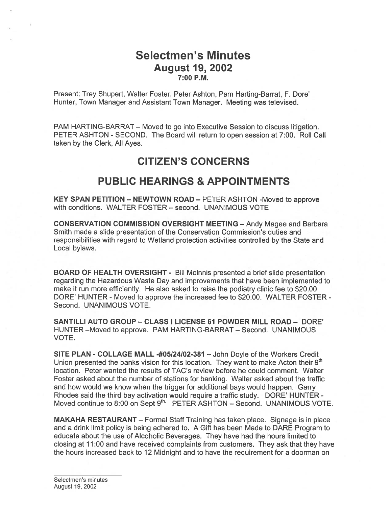## Selectmen's Minutes August 19, 2002 7:00 P.M.

Present: Trey Shupert, Walter Foster, Peter Ashton, Pam Harting-Barrat, F. Dore' Hunter, Town Manager and Assistant Town Manager. Meeting was televised.

PAM HARTING-BARRAT — Moved to go into Executive Session to discuss litigation. PETER ASHTON - SECOND. The Board will return to open session at 7:00. Roll Call taken by the Clerk, All Ayes.

## CITIZEN'S CONCERNS

## PUBLIC HEARINGS & APPOINTMENTS

KEY SPAN PETITION — NEWTOWN ROAD — PETER ASHTON -Moved to approve with conditions. WALTER FOSTER — second. UNANIMOUS VOTE

CONSERVATION COMMISSION OVERSIGHT MEETING — Andy Magee and Barbara Smith made <sup>a</sup> slide presentation of the Conservation Commission's duties and responsibilities with regard to Wetland protection activities controlled by the State and Local bylaws.

BOARD OF HEALTH OVERSIGHT - Bill Mclnnis presented <sup>a</sup> brief slide presentation regarding the Hazardous Waste Day and improvements that have been implemented to make it run more efficiently. He also asked to raise the podiatry clinic fee to \$20.00 DORE' HUNTER - Moved to approve the increased fee to \$20.00. WALTER FOSTER - Second. UNANIMOUS VOTE.

SANTILLI AUTO GROUP — CLASS I LICENSE 61 POWDER MILL ROAD — DORE' HUNTER —Moved to approve. PAM HARTING-BARRAT — Second. UNANIMOUS VOTE.

SITE PLAN - COLLAGE MALL -#05124102-381 — John Doyle of the Workers Credit Union presented the banks vision for this location. They want to make Acton their  $9<sup>th</sup>$ location. Peter wanted the results of TAC's review before he could comment. Walter Foster asked about the number of stations for banking. Walter asked about the traffic and how would we know when the trigger for additional bays would happen. Garry Rhodes said the third bay activation would require <sup>a</sup> traffic study. DORE' HUNTER - Moved continue to 8:00 on Sept 9<sup>th.</sup> PETER ASHTON - Second. UNANIMOUS VOTE.

MAKAHA RESTAURANT — Formal Staff Training has taken place. Signage is in place and <sup>a</sup> drink limit policy is being adhered to. A Gift has been Made to DARE Program to educate about the use of Alcoholic Beverages. They have had the hours limited to closing at I 1:00 and have received complaints from customers. They ask that they have the hours increased back to 12 Midnight and to have the requirement for <sup>a</sup> doorman on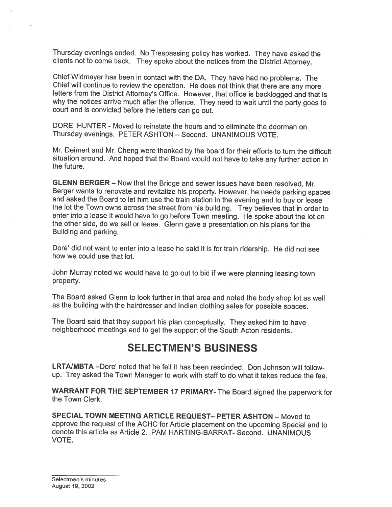Thursday evenings ended. No Trespassing policy has worked. They have asked the clients not to come back. They spoke about the notices from the District Attorney.

Chief Widmayer has been in contact with the DA. They have had no problems. The Chief will continue to review the operation. He does not think that there are any more letters from the District Attorney's Office. However, that office is backlogged and that is why the notices arrive much after the offence. They need to wait until the party goes to court and is convicted before the letters can go out.

DORE' HUNTER - Moved to reinstate the hours and to eliminate the doorman on Thursday evenings. PETER ASHTON — Second. UNANIMOUS VOTE.

Mr. Deimert and Mr. Cheng were thanked by the board for their efforts to turn the difficult situation around. And hoped that the Board would not have to take any further action in the future.

GLENN BERGER — Now that the Bridge and sewer issues have been resolved, Mr. Berger wants to renovate and revitalize his property. However, he needs parking spaces and asked the Board to let him use the train station in the evening and to buy or lease the lot the Town owns across the street from his building. Trey believes that in order to enter into <sup>a</sup> lease it would have to go before Town meeting. He spoke about the lot on the other side, do we sell or lease. Glenn gave <sup>a</sup> presentation on his <sup>p</sup>lans for the Building and parking.

Dore' did not want to enter into <sup>a</sup> lease he said it is for train ridership. He did not see how we could use that lot.

John Murray noted we would have to go out to bid if we were <sup>p</sup>lanning leasing town property.

The Board asked Glenn to look further in that area and noted the body shop lot as well as the building with the hairdresser and Indian clothing sales for possible spaces.

The Board said that they support his <sup>p</sup>lan conceptually. They asked him to have neighborhood meetings and to get the support of the South Acton residents.

### SELECTMEN'S BUSINESS

LRTA/MBTA -Dore' noted that he felt it has been rescinded. Don Johnson will followup. Trey asked the Town Manager to work with staff to do what it takes reduce the fee.

WARRANT FOR THE SEPTEMBER <sup>17</sup> PRIMARY- The Board signed the paperwork for the Town Clerk.

SPECIAL TOWN MEETING ARTICLE REQUEST— PETER ASHTON — Moved to approve the request of the ACHC for Article <sup>p</sup>lacement on the upcoming Special and to denote this article as Article 2. PAM HARTING-BARRAT- Second. UNANIMOUS VOTE.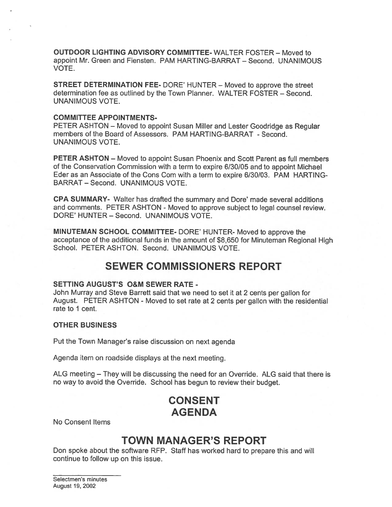OUTDOOR LIGHTING ADVISORY COMMITTEE- WALTER FOSTER — Moved to appoint Mr. Green and Fiensten. PAM HARTING-BARRAT — Second. UNANIMOUS VOTE.

STREET DETERMINATION FEE- DORE' HUNTER — Moved to approve the street determination fee as outlined by the Town Planner. WALTER FOSTER — Second. UNANIMOUS VOTE.

#### COMMITTEE APPOINTMENTS-

PETER ASHTON — Moved to appoint Susan Miller and Lester Goodridge as Regular members of the Board of Assessors. PAM HARTING-BARRAT - Second. UNANIMOUS VOTE.

PETER ASHTON — Moved to appoint Susan Phoenix and Scott Parent as full members of the Conservation Commission with <sup>a</sup> term to expire 6/30/05 and to appoint Michael Eder as an Associate of the Cons Com with a term to expire 6/30/03. PAM HARTING-BARRAT — Second. UNANIMOUS VOTE.

CPA SUMMARY- Walter has drafted the summary and Dore' made several additions and comments. PETER ASHTON - Moved to approve subject to legal counsel review. DORE' HUNTER — Second. UNANIMOUS VOTE.

MINUTEMAN SCHOOL COMMITTEE- DORE' HUNTER- Moved to approve the acceptance of the additional funds in the amount of \$8,650 for Minuteman Regional High School. PETER ASHTON. Second. UNANIMOUS VOTE.

## SEWER COMMISSIONERS REPORT

#### SETTING AUGUST'S O&M SEWER RATE -

John Murray and Steve Barrett said that we need to set it at <sup>2</sup> cents per gallon for August. PETER ASHTON - Moved to set rate at 2 cents per gallon with the residential rate to 1 cent.

#### OTHER BUSINESS

Put the Town Manager's raise discussion on next agenda

Agenda item on roadside displays at the next meeting.

ALG meeting — They will be discussing the need for an Override. ALG said that there is no way to avoid the Override. School has begun to review their budget.

# CONSENT AGENDA

No Consent Items

## TOWN MANAGER'S REPORT

Don spoke about the software RFP. Staff has worked hard to prepare this and will continue to follow up on this issue.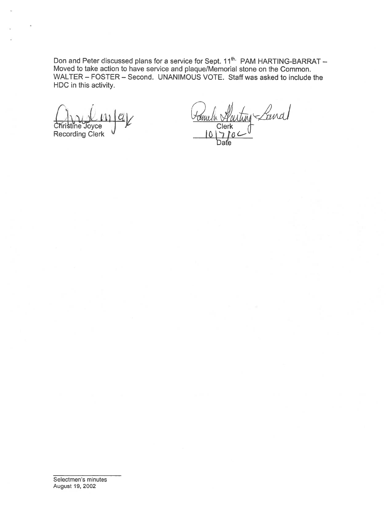Don and Peter discussed plans for a service for Sept. 11<sup>th.</sup> PAM HARTING-BARRAT – Moved to take action to have service and plaque/Memorial stone on the Common. WALTER – FOSTER – Second. UNANIMOUS VOTE. Staff was asked to include the HDC in this activity.

:ijz ri tine Joyce .) Clerk Recording Clerk '7 /L3 '-\_

Lanal Daťe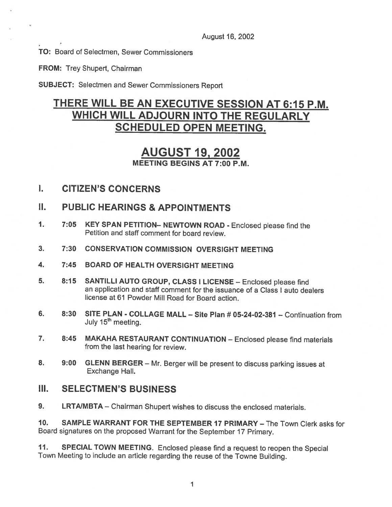August 16, 2002

TO: Board of Selectmen, Sewer Commissioners

FROM: Trey Shupert, Chairman

SUBJECT: Selectmen and Sewer Commissioners Report

## THERE WILL BE AN EXECUTIVE SESSION AT 6:15 P.M. WHICH WILL ADJOURN INTO THE REGULARLY SCHEDULED OPEN MEETING.

## AUGUST 19, 2002 MEETING BEGINS AT 7:00 P.M.

- 1. CITIZEN'S CONCERNS
- II. PUBLIC HEARINGS & APPOINTMENTS
- 1. 7:05 KEY SPAN PETITION— NEWTOWN ROAD Enclosed <sup>p</sup>lease find the Petition and staff comment for board review.
- 3. 7:30 CONSERVATION COMMISSION OVERSIGHT MEETING
- 4. 7:45 BOARD OF HEALTH OVERSIGHT MEETING
- 5. 8:15 SANTILLI AUTO GROUP, CLASS <sup>I</sup> LICENSE Enclosed <sup>p</sup>lease find an application and staff comment for the issuance of <sup>a</sup> Class I auto dealers license at 61 Powder Mill Road for Board action.
- 6. 8:30 SITE PLAN COLLAGE MALL Site Plan # 05-24-02-381 Continuation from July 15<sup>th</sup> meeting.
- 7. 8:45 MAKAHA RESTAURANT CONTINUATION Enclosed please find materials from the last hearing for review.
- 8. 9:00 GLENN BERGER Mr. Berger will be present to discuss parking issues at Exchange Hall.

### III. SELECTMEN'S BUSINESS

9. LRTA/MBTA – Chairman Shupert wishes to discuss the enclosed materials.

10. SAMPLE WARRANT FOR THE SEPTEMBER 17 PRIMARY — The Town Clerk asks for Board signatures on the proposed Warrant for the September <sup>17</sup> Primary.

11. SPECIAL TOWN MEETING. Enclosed <sup>p</sup>lease find <sup>a</sup> request to reopen the Special Town Meeting to include an article regarding the reuse of the Towne Building.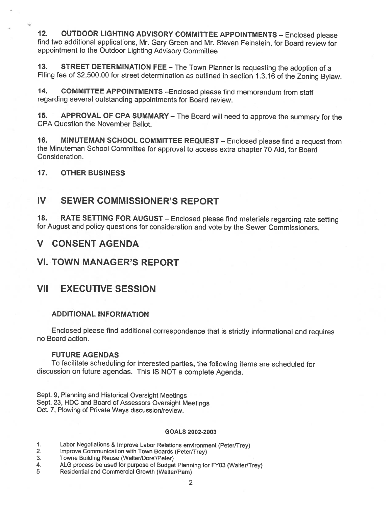12. OUTDOOR LIGHTING ADVISORY COMMITTEE APPOINTMENTS — Enclosed <sup>p</sup>lease find two additional applications, Mr. Gary Green and Mr. Steven Feinstein, for Board review for appointment to the Outdoor Lighting Advisory Committee

13. STREET DETERMINATION FEE - The Town Planner is requesting the adoption of a Filing fee of \$2,500.00 for street determination as outlined in section 1.3.16 of the Zoning Bylaw.

14. COMMITTEE APPOINTMENTS —Enclosed <sup>p</sup>lease find memorandum from staff regarding several outstanding appointments for Board review.

15. APPROVAL OF CPA SUMMARY — The Board will need to approve the summary for the CPA Question the November Ballot.

16. MINUTEMAN SCHOOL COMMITTEE REQUEST — Enclosed <sup>p</sup>lease find <sup>a</sup> request from the Minuteman School Committee for approval to access extra chapter <sup>70</sup> Aid, for Board Consideration.

### 17. OTHER BUSINESS

### IV SEWER COMMISSIONER'S REPORT

18. RATE SETTING FOR AUGUST — Enclosed <sup>p</sup>lease find materials regarding rate setting for August and policy questions for consideration and vote by the Sewer Commissioners.

### V CONSENT AGENDA

### VI. TOWN MANAGER'S REPORT

## VII EXECUTIVE SESSION

### ADDITIONAL INFORMATION

Enclosed <sup>p</sup>lease find additional correspondence that is strictly informational and requires no Board action.

#### FUTURE AGENDAS

To facilitate scheduling for interested parties, the following items are scheduled for discussion on future agendas. This IS NOT <sup>a</sup> complete Agenda.

Sept. 9, Planning and Historical Oversight Meetings Sept. 23, HDC and Board of Assessors Oversight Meetings Oct. 7, Plowing of Private Ways discussion/review.

#### GOALS 2002-2003

- 1. Labor Negotiations & Improve Labor Relations environment (Peter/Trey)<br>2. Improve Communication with Town Boards (Peter/Trey)
- 2. Improve Communication with Town Boards (Peter/Trey)<br>3. Towne Building Reuse (Walter/Dore'/Peter)
- 3. Towne Building Reuse (Walter/Dore'/Peter)<br>4. ALG process be used for purpose of Budge
- 4. ALG process be used for purpose of Budget Planning for FY03 (Walter/Trey)<br>5 Residential and Commercial Growth (Walter/Pam)
	- 5 Residential and commercial Growth (Walter/Pam)